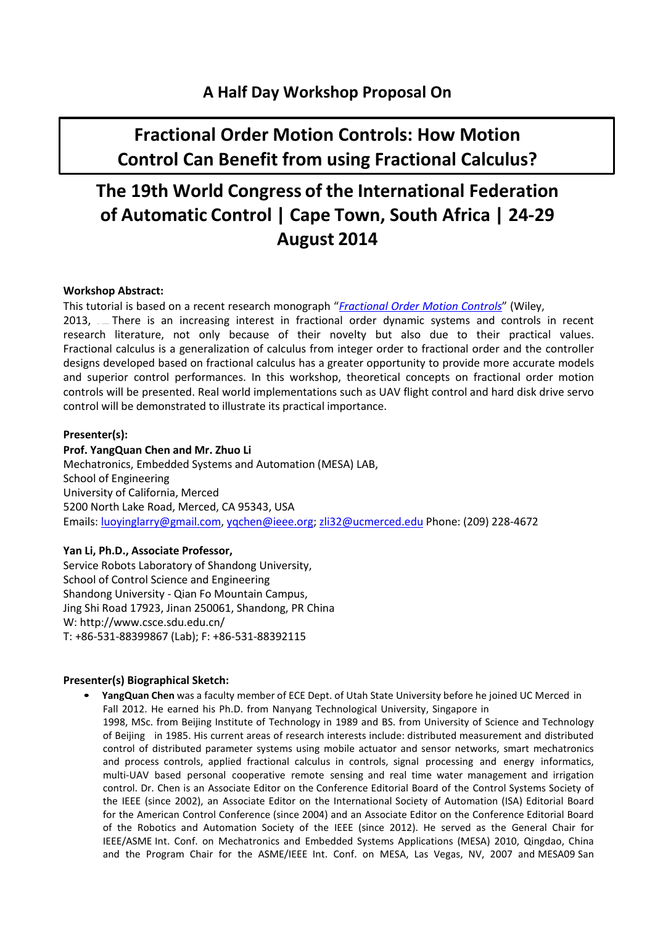# **Fractional Order Motion Controls: How Motion Control Can Benefit from using Fractional Calculus?**

# **The 19th World Congress of the International Federation of Automatic Control | Cape Town, South Africa | 24-29 August 2014**

## **Workshop Abstract:**

This tutorial is based on a recent research monograph "*Fractional Order Motion Controls*" (Wiley,

2013, Intere is an increasing interest in fractional order dynamic systems and controls in recent research literature, not only because of their novelty but also due to their practical values. Fractional calculus is a generalization of calculus from integer order to fractional order and the controller designs developed based on fractional calculus has a greater opportunity to provide more accurate models and superior control performances. In this workshop, theoretical concepts on fractional order motion controls will be presented. Real world implementations such as UAV flight control and hard disk drive servo control will be demonstrated to illustrate its practical importance.

# **Presenter(s):**

# **Prof. YangQuan Chen and Mr. Zhuo Li**

Mechatronics, Embedded Systems and Automation (MESA) LAB, School of Engineering University of California, Merced 5200 North Lake Road, Merced, CA 95343, USA Emails: [luoyinglarry@gmail.com,](mailto:luoyinglarry@gmail.com) [yqchen@ieee.org;](mailto:yqchen@ieee.org) [zli32@ucmerced.ed](mailto:zli32@ucmerced.edu)u [Phone: \(209\) 228-4672](mailto:zli32@ucmerced.edu)

# **Yan Li, Ph.D., Associate Professor,**

Service Robots Laboratory of Shandong University, School of Control Science and Engineering Shandong University - Qian Fo Mountain Campus, Jing Shi Road 17923, Jinan 250061, Shandong, PR China [W: http://www.csce.sdu.edu.cn/](http://www.csce.sdu.edu.cn/) T: +86-531-88399867 (Lab); F: +86-531-88392115

## **Presenter(s) Biographical Sketch:**

• **YangQuan Chen** was a faculty member of ECE Dept. of Utah State University before he joined UC Merced in Fall 2012. He earned his Ph.D. from Nanyang Technological University, Singapore in

1998, MSc. from Beijing Institute of Technology in 1989 and BS. from University of Science and Technology of Beijing in 1985. His current areas of research interests include: distributed measurement and distributed control of distributed parameter systems using mobile actuator and sensor networks, smart mechatronics and process controls, applied fractional calculus in controls, signal processing and energy informatics, multi-UAV based personal cooperative remote sensing and real time water management and irrigation control. Dr. Chen is an Associate Editor on the Conference Editorial Board of the Control Systems Society of the IEEE (since 2002), an Associate Editor on the International Society of Automation (ISA) Editorial Board for the American Control Conference (since 2004) and an Associate Editor on the Conference Editorial Board of the Robotics and Automation Society of the IEEE (since 2012). He served as the General Chair for IEEE/ASME Int. Conf. on Mechatronics and Embedded Systems Applications (MESA) 2010, Qingdao, China and the Program Chair for the ASME/IEEE Int. Conf. on MESA, Las Vegas, NV, 2007 and MESA09 San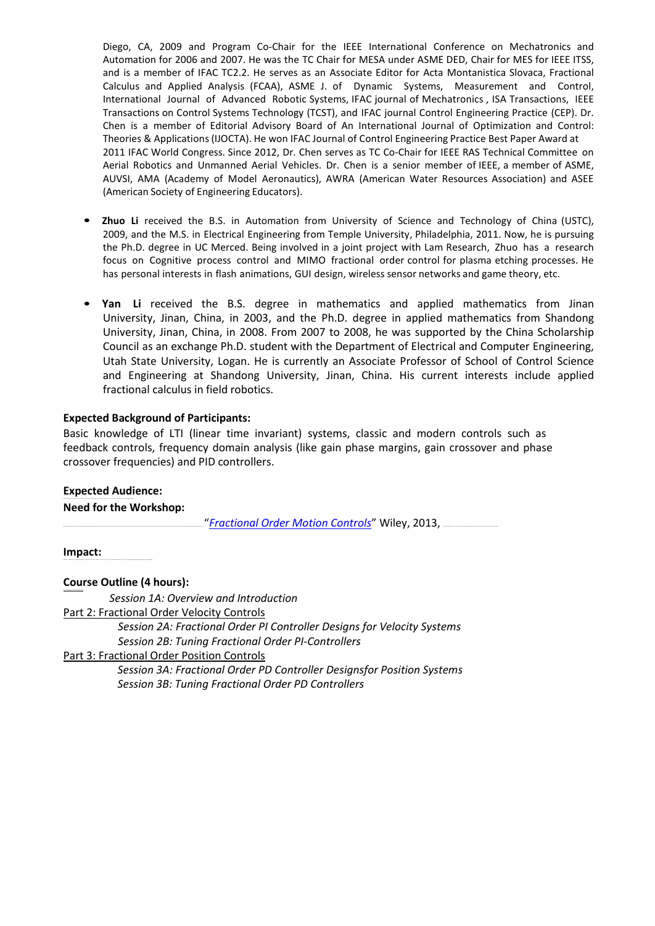Diego, CA, 2009 and Program Co-Chair for the IEEE International Conference on Mechatronics and Automation for 2006 and 2007. He was the TC Chair for MESA under ASME DED, Chair for MES for IEEE ITSS, and is a member of IFAC TC2.2. He serves as an Associate Editor for Acta Montanistica Slovaca, Fractional Calculus and Applied Analysis (FCAA), ASME J. of Dynamic Systems, Measurement and Control, International Journal of Advanced Robotic Systems, IFAC journal of Mechatronics , ISA Transactions, IEEE Transactions on Control Systems Technology (TCST), and IFAC journal Control Engineering Practice (CEP). Dr. Chen is a member of Editorial Advisory Board of An International Journal of Optimization and Control: Theories & Applications(IJOCTA). He won IFAC Journal of Control Engineering Practice Best Paper Award at 2011 IFAC World Congress. Since 2012, Dr. Chen serves as TC Co-Chair for IEEE RAS Technical Committee on Aerial Robotics and Unmanned Aerial Vehicles. Dr. Chen is a senior member of IEEE, a member of ASME, AUVSI, AMA (Academy of Model Aeronautics), AWRA (American Water Resources Association) and ASEE (American Society of Engineering Educators).

- **Zhuo Li** received the B.S. in Automation from University of Science and Technology of China (USTC), 2009, and the M.S. in Electrical Engineering from Temple University, Philadelphia, 2011. Now, he is pursuing the Ph.D. degree in UC Merced. Being involved in a joint project with Lam Research, Zhuo has a research focus on Cognitive process control and MIMO fractional order control for plasma etching processes. He has personal interests in flash animations, GUI design, wireless sensor networks and game theory, etc.
- **Yan Li** received the B.S. degree in mathematics and applied mathematics from Jinan University, Jinan, China, in 2003, and the Ph.D. degree in applied mathematics from Shandong University, Jinan, China, in 2008. From 2007 to 2008, he was supported by the China Scholarship Council as an exchange Ph.D. student with the Department of Electrical and Computer Engineering, Utah State University, Logan. He is currently an Associate Professor of School of Control Science and Engineering at Shandong University, Jinan, China. His current interests include applied fractional calculus in field robotics.

## **Expected Background of Participants:**

Basic knowledge of LTI (linear time invariant) systems, classic and modern controls such as feedback controls, frequency domain analysis (like gain phase margins, gain crossover and phase crossover frequencies) and PID controllers.

#### **Expected Audience:**

#### **Need for the Workshop:**

"Fractional Order Motion Controls" Wiley, 2013,

**Impact:**

#### **Course Outline (4 hours):**

*Session 1A: Overview and Introduction*

Part 2: Fractional Order Velocity Controls

*Session 2A: Fractional Order PI Controller Designs for Velocity Systems Session 2B: Tuning Fractional Order PI-Controllers*

Part 3: Fractional Order Position Controls

*Session 3A: Fractional Order PD Controller Designsfor Position Systems Session 3B: Tuning Fractional Order PD Controllers*